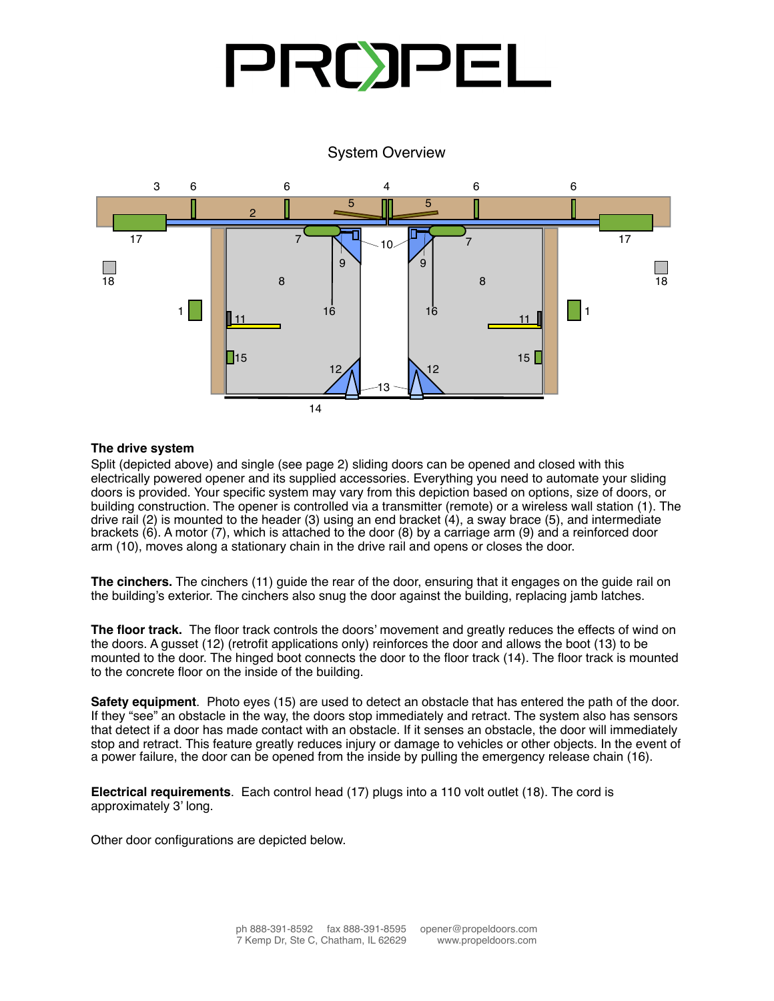## System Overview



## **The drive system The drive system**

Split (depicted above) and single (see page 2) sliding doors can be opened and closed with this electrically powered opener and its supplied accessories. Everything you need to automate your sliding doors is provided. Your specific system may vary from this depiction based on options, size of doors, or building construction. The opener is controlled via a transmitter (remote) or a wireless wall station (1). The drive rail (2) is mounted to the header (3) using an end bracket (4), a sway brace (5), and intermediate drive rail (2) is modified to the header (3) dsing an end bracket (4), a sway brace (5), and intermediate<br>brackets (6). A motor (7), which is attached to the door (8) by a carriage arm (9) and a reinforced door **The cinchers (10) guide the cinchers** (11) guide that it engages on the control of the control on the door, the door arm (10), moves along a stationary chain in the drive rail and opens or closes the door.<br>

The cinchers. The cinchers (11) guide the rear of the door, ensuring that it engages on the guide rail on  $\overline{\phantom{a}}$  retrofit applications on  $\overline{\phantom{a}}$  to  $\overline{\phantom{a}}$  and  $\overline{\phantom{a}}$  and  $\overline{\phantom{a}}$  and  $\overline{\phantom{a}}$  and  $\overline{\phantom{a}}$  and  $\overline{\phantom{a}}$  and  $\overline{\phantom{a}}$  and  $\overline{\phantom{a}}$  and  $\overline{\phantom{a}}$  and  $\overline{\phantom{a}}$  and  $\overline{\phantom{a$ the building's exterior. The cinchers also snug the door against the building, replacing jamb latches.

The floor track. The floor track controls the doors' movement and greatly reduces the effects of wind on the doors. A gusset (12) (retrofit applications only) reinforces the door and allows the boot (13) to be  $\frac{1}{10}$  is the door will immediately stop and retractions of  $\frac{1}{2}$  is the door  $\frac{1}{2}$  or  $\frac{1}{2}$  is  $\frac{1}{2}$  is  $\frac{1}{2}$  is  $\frac{1}{2}$  is  $\frac{1}{2}$  is  $\frac{1}{2}$  is  $\frac{1}{2}$  is  $\frac{1}{2}$  is  $\frac{1}{2}$  is  $\frac{1$ mounted to the door. The hinged boot connects the door to the floor track (14). The floor track is mounted to the concrete floor on the inside of the building.

**Electrical requirements Safety equipment**. Photo eyes (15) are used to detect an obstacle that has entered the path of the door. If they "see" an obstacle in the way, the doors stop immediately and retract. The system also has sensors that detect if a door has made contact with an obstacle. If it senses an obstacle, the door will immediately stop and retract. This feature greatly reduces injury or damage to vehicles or other objects. In the event of a power failure, the door can be opened from the inside by pulling the emergency release chain (16).

**Electrical requirements**. Each control head (17) plugs into a 110 volt outlet (18). The cord is approximately 3' long.

Other door configurations are depicted below.